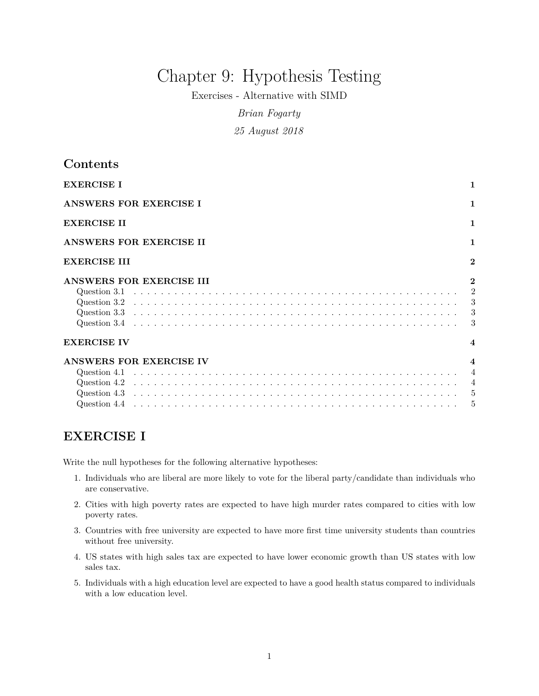# Chapter 9: Hypothesis Testing

Exercises - Alternative with SIMD

*Brian Fogarty*

*25 August 2018*

| Contents                 |                                |
|--------------------------|--------------------------------|
| <b>EXERCISE I</b>        | $\mathbf{1}$                   |
| ANSWERS FOR EXERCISE I   | $\mathbf{1}$                   |
| <b>EXERCISE II</b>       | 1                              |
| ANSWERS FOR EXERCISE II  | 1                              |
| <b>EXERCISE III</b>      | $\overline{2}$                 |
| ANSWERS FOR EXERCISE III | $\mathbf{2}$<br>$\overline{2}$ |
| <b>EXERCISE IV</b>       | $\overline{\mathbf{4}}$        |
| ANSWERS FOR EXERCISE IV  | $\overline{\mathbf{4}}$        |
|                          | $\overline{4}$                 |

## <span id="page-0-0"></span>**EXERCISE I**

Write the null hypotheses for the following alternative hypotheses:

- 1. Individuals who are liberal are more likely to vote for the liberal party/candidate than individuals who are conservative.
- 2. Cities with high poverty rates are expected to have high murder rates compared to cities with low poverty rates.
- 3. Countries with free university are expected to have more first time university students than countries without free university.
- 4. US states with high sales tax are expected to have lower economic growth than US states with low sales tax.
- 5. Individuals with a high education level are expected to have a good health status compared to individuals with a low education level.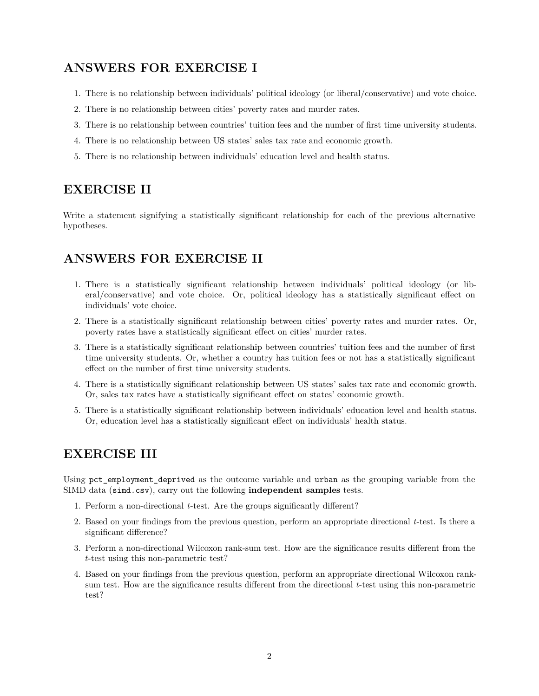# <span id="page-1-0"></span>**ANSWERS FOR EXERCISE I**

- 1. There is no relationship between individuals' political ideology (or liberal/conservative) and vote choice.
- 2. There is no relationship between cities' poverty rates and murder rates.
- 3. There is no relationship between countries' tuition fees and the number of first time university students.
- 4. There is no relationship between US states' sales tax rate and economic growth.
- 5. There is no relationship between individuals' education level and health status.

# <span id="page-1-1"></span>**EXERCISE II**

Write a statement signifying a statistically significant relationship for each of the previous alternative hypotheses.

# <span id="page-1-2"></span>**ANSWERS FOR EXERCISE II**

- 1. There is a statistically significant relationship between individuals' political ideology (or liberal/conservative) and vote choice. Or, political ideology has a statistically significant effect on individuals' vote choice.
- 2. There is a statistically significant relationship between cities' poverty rates and murder rates. Or, poverty rates have a statistically significant effect on cities' murder rates.
- 3. There is a statistically significant relationship between countries' tuition fees and the number of first time university students. Or, whether a country has tuition fees or not has a statistically significant effect on the number of first time university students.
- 4. There is a statistically significant relationship between US states' sales tax rate and economic growth. Or, sales tax rates have a statistically significant effect on states' economic growth.
- 5. There is a statistically significant relationship between individuals' education level and health status. Or, education level has a statistically significant effect on individuals' health status.

# <span id="page-1-3"></span>**EXERCISE III**

Using pct employment deprived as the outcome variable and urban as the grouping variable from the SIMD data (simd.csv), carry out the following **independent samples** tests.

- 1. Perform a non-directional *t*-test. Are the groups significantly different?
- 2. Based on your findings from the previous question, perform an appropriate directional *t*-test. Is there a significant difference?
- 3. Perform a non-directional Wilcoxon rank-sum test. How are the significance results different from the *t*-test using this non-parametric test?
- 4. Based on your findings from the previous question, perform an appropriate directional Wilcoxon ranksum test. How are the significance results different from the directional *t*-test using this non-parametric test?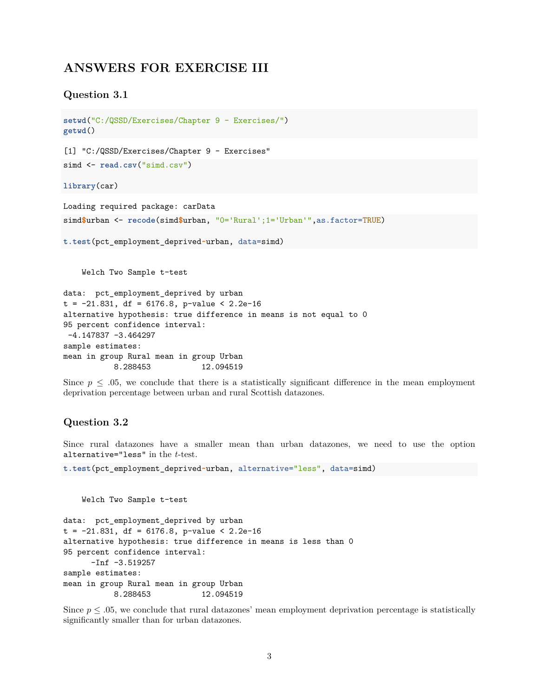### <span id="page-2-0"></span>**ANSWERS FOR EXERCISE III**

### <span id="page-2-1"></span>**Question 3.1**

```
setwd("C:/QSSD/Exercises/Chapter 9 - Exercises/")
getwd()
```
[1] "C:/QSSD/Exercises/Chapter 9 - Exercises"

```
simd \leq read.csv<sup>("simd.csv")</sup>
```
**library**(car)

Loading required package: carData simd**\$**urban <- **recode**(simd**\$**urban, "0='Rural';1='Urban'",as.factor=TRUE)

```
t.test(pct_employment_deprived~urban, data=simd)
```
Welch Two Sample t-test

```
data: pct_employment_deprived by urban
t = -21.831, df = 6176.8, p-value < 2.2e-16
alternative hypothesis: true difference in means is not equal to 0
95 percent confidence interval:
-4.147837 -3.464297
sample estimates:
mean in group Rural mean in group Urban
          8.288453 12.094519
```
Since  $p \leq 0.05$ , we conclude that there is a statistically significant difference in the mean employment deprivation percentage between urban and rural Scottish datazones.

#### <span id="page-2-2"></span>**Question 3.2**

Since rural datazones have a smaller mean than urban datazones, we need to use the option alternative="less" in the *t*-test.

```
t.test(pct_employment_deprived~urban, alternative="less", data=simd)
```
Welch Two Sample t-test

```
data: pct_employment_deprived by urban
t = -21.831, df = 6176.8, p-value < 2.2e-16
alternative hypothesis: true difference in means is less than 0
95 percent confidence interval:
     -Inf -3.519257
sample estimates:
mean in group Rural mean in group Urban
          8.288453 12.094519
```
Since  $p \leq 0.05$ , we conclude that rural datazones' mean employment deprivation percentage is statistically significantly smaller than for urban datazones.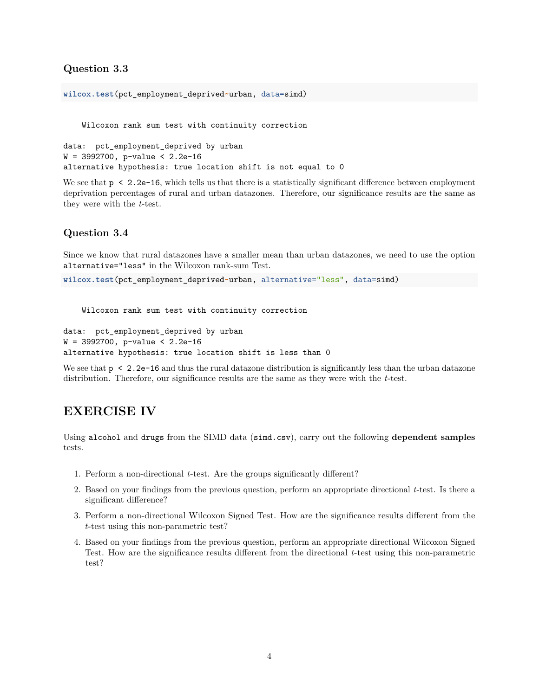### <span id="page-3-0"></span>**Question 3.3**

**wilcox.test**(pct\_employment\_deprived**~**urban, data=simd)

Wilcoxon rank sum test with continuity correction

```
data: pct_employment_deprived by urban
W = 3992700, p-value < 2.2e-16
alternative hypothesis: true location shift is not equal to 0
```
We see that  $p \leq 2.2e-16$ , which tells us that there is a statistically significant difference between employment deprivation percentages of rural and urban datazones. Therefore, our significance results are the same as they were with the *t*-test.

#### <span id="page-3-1"></span>**Question 3.4**

Since we know that rural datazones have a smaller mean than urban datazones, we need to use the option alternative="less" in the Wilcoxon rank-sum Test.

```
wilcox.test(pct_employment_deprived~urban, alternative="less", data=simd)
```
Wilcoxon rank sum test with continuity correction

```
data: pct_employment_deprived by urban
W = 3992700, p-value < 2.2e-16
alternative hypothesis: true location shift is less than 0
```
We see that  $p \leq 2.2e-16$  and thus the rural datazone distribution is significantly less than the urban datazone distribution. Therefore, our significance results are the same as they were with the *t*-test.

### <span id="page-3-2"></span>**EXERCISE IV**

Using alcohol and drugs from the SIMD data (simd.csv), carry out the following **dependent samples** tests.

- 1. Perform a non-directional *t*-test. Are the groups significantly different?
- 2. Based on your findings from the previous question, perform an appropriate directional *t*-test. Is there a significant difference?
- 3. Perform a non-directional Wilcoxon Signed Test. How are the significance results different from the *t*-test using this non-parametric test?
- 4. Based on your findings from the previous question, perform an appropriate directional Wilcoxon Signed Test. How are the significance results different from the directional *t*-test using this non-parametric test?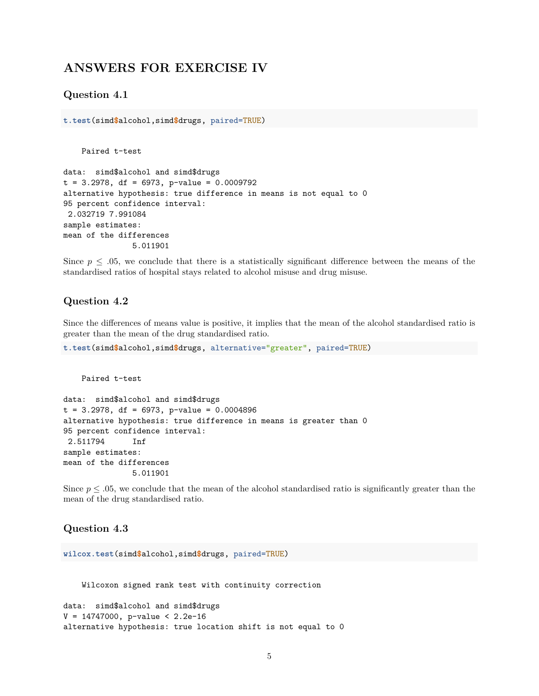### <span id="page-4-0"></span>**ANSWERS FOR EXERCISE IV**

#### <span id="page-4-1"></span>**Question 4.1**

**t.test**(simd**\$**alcohol,simd**\$**drugs, paired=TRUE)

Paired t-test

```
data: simd$alcohol and simd$drugs
t = 3.2978, df = 6973, p-value = 0.0009792
alternative hypothesis: true difference in means is not equal to 0
95 percent confidence interval:
2.032719 7.991084
sample estimates:
mean of the differences
               5.011901
```
Since  $p \leq .05$ , we conclude that there is a statistically significant difference between the means of the standardised ratios of hospital stays related to alcohol misuse and drug misuse.

#### <span id="page-4-2"></span>**Question 4.2**

Since the differences of means value is positive, it implies that the mean of the alcohol standardised ratio is greater than the mean of the drug standardised ratio.

**t.test**(simd**\$**alcohol,simd**\$**drugs, alternative="greater", paired=TRUE)

Paired t-test

```
data: simd$alcohol and simd$drugs
t = 3.2978, df = 6973, p-value = 0.0004896
alternative hypothesis: true difference in means is greater than 0
95 percent confidence interval:
2.511794 Inf
sample estimates:
mean of the differences
              5.011901
```
Since  $p \leq 0.05$ , we conclude that the mean of the alcohol standardised ratio is significantly greater than the mean of the drug standardised ratio.

#### <span id="page-4-3"></span>**Question 4.3**

**wilcox.test**(simd**\$**alcohol,simd**\$**drugs, paired=TRUE)

Wilcoxon signed rank test with continuity correction

```
data: simd$alcohol and simd$drugs
V = 14747000, p-value < 2.2e-16
alternative hypothesis: true location shift is not equal to 0
```